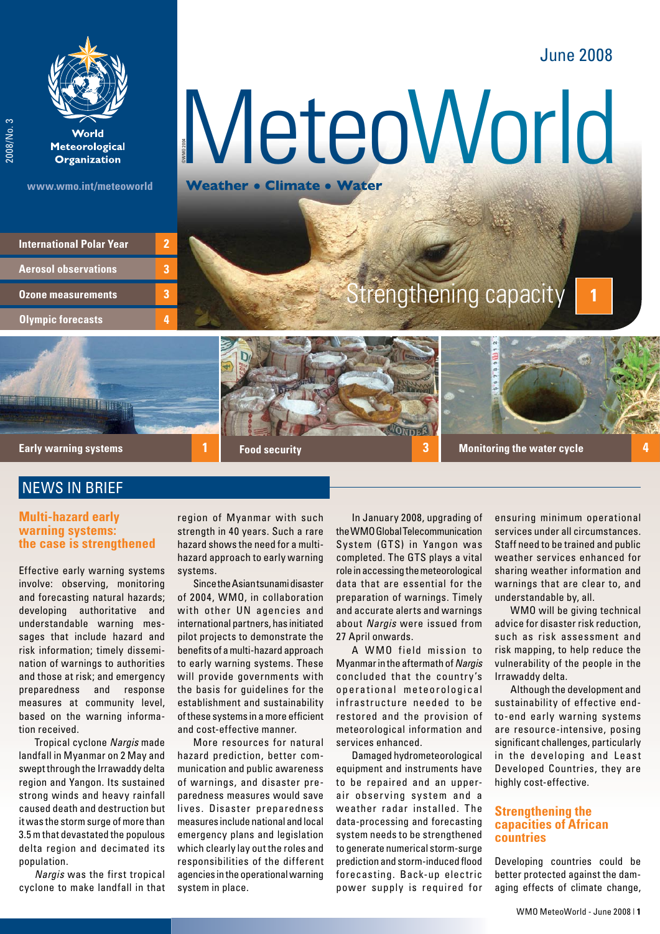# June 2008

**1**



World **Meteorological Organization** 

2008/No. 3

2008/No.3

**www.wmo.int/meteoworld**

©WMO 2004 MeteoWorld

# **Olympic forecasts Ozone measurements International Polar Year Aerosol observations**

**3**

**2**

**3**

**4**

Strengthening capacity

**Early warning systems**

# **NEWS IN BRIEF**

## **Multi-hazard early warning systems: the case is strengthened**

Effective early warning systems involve: observing, monitoring and forecasting natural hazards; developing authoritative and understandable warning messages that include hazard and risk information; timely dissemination of warnings to authorities and those at risk; and emergency preparedness and response measures at community level, based on the warning information received.

Tropical cyclone *Nargis* made landfall in Myanmar on 2 May and swept through the Irrawaddy delta region and Yangon. Its sustained strong winds and heavy rainfall caused death and destruction but it was the storm surge of more than 3.5 m that devastated the populous delta region and decimated its population.

*Nargis* was the first tropical cyclone to make landfall in that

region of Myanmar with such strength in 40 years. Such a rare hazard shows the need for a multihazard approach to early warning systems.

**Food security**

Since the Asian tsunami disaster of 2004, WMO, in collaboration with other UN agencies and international partners, has initiated pilot projects to demonstrate the benefits of a multi-hazard approach to early warning systems. These will provide governments with the basis for guidelines for the establishment and sustainability of these systems in a more efficient and cost-effective manner.

More resources for natural hazard prediction, better communication and public awareness of warnings, and disaster preparedness measures would save lives. Disaster preparedness measures include national and local emergency plans and legislation which clearly lay out the roles and responsibilities of the different agencies in the operational warning system in place.

In January 2008, upgrading of the WMO Global Telecommunication System (GTS) in Yangon was completed. The GTS plays a vital role in accessing the meteorological data that are essential for the preparation of warnings. Timely and accurate alerts and warnings about *Nargis* were issued from 27 April onwards.

**1 3 4 Monitoring the water cycle**

A WMO field mission to Myanmar in the aftermath of *Nargis* concluded that the country's operational meteorological infrastructure needed to be restored and the provision of meteorological information and services enhanced.

Damaged hydrometeorological equipment and instruments have to be repaired and an upperair observing system and a weather radar installed. The data-processing and forecasting system needs to be strengthened to generate numerical storm-surge prediction and storm-induced flood forecasting. Back-up electric power supply is required for ensuring minimum operational services under all circumstances. Staff need to be trained and public weather services enhanced for sharing weather information and warnings that are clear to, and understandable by, all.

WMO will be giving technical advice for disaster risk reduction, such as risk assessment and risk mapping, to help reduce the vulnerability of the people in the Irrawaddy delta.

Although the development and sustainability of effective endto-end early warning systems are resource-intensive, posing significant challenges, particularly in the developing and Least Developed Countries, they are highly cost-effective.

# **Strengthening the capacities of African countries**

Developing countries could be better protected against the damaging effects of climate change,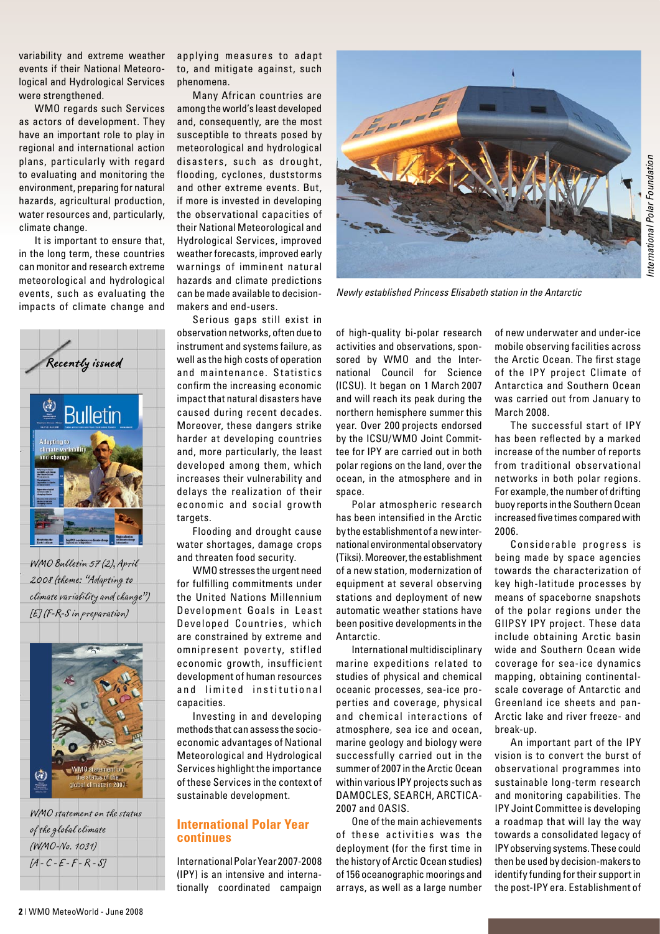variability and extreme weather events if their National Meteorological and Hydrological Services were strengthened.

WMO regards such Services as actors of development. They have an important role to play in regional and international action plans, particularly with regard to evaluating and monitoring the environment, preparing for natural hazards, agricultural production, water resources and, particularly, climate change.

It is important to ensure that, in the long term, these countries can monitor and research extreme meteorological and hydrological events, such as evaluating the impacts of climate change and



WMO Bulletin 57 (2), April 2008 (theme: "Adapting to climate variability and change") [E] (F-R-S in preparation)



WMO statement on the status of the global climate (WMO-No. 1031)  $[A - C - E - F - R - S]$ 

applying measures to adapt to, and mitigate against, such phenomena.

Many African countries are among the world's least developed and, consequently, are the most susceptible to threats posed by meteorological and hydrological disasters, such as drought, flooding, cyclones, duststorms and other extreme events. But, if more is invested in developing the observational capacities of their National Meteorological and Hydrological Services, improved weather forecasts, improved early warnings of imminent natural hazards and climate predictions can be made available to decisionmakers and end-users.

Serious gaps still exist in observation networks, often due to instrument and systems failure, as well as the high costs of operation and maintenance. Statistics confirm the increasing economic impact that natural disasters have caused during recent decades. Moreover, these dangers strike harder at developing countries and, more particularly, the least developed among them, which increases their vulnerability and delays the realization of their economic and social grow th targets.

Flooding and drought cause water shortages, damage crops and threaten food security.

WMO stresses the urgent need for fulfilling commitments under the United Nations Millennium Development Goals in Least Developed Countries, which are constrained by extreme and omnipresent poverty, stifled economic growth, insufficient development of human resources and limited institutional capacities.

Investing in and developing methods that can assess the socioeconomic advantages of National Meteorological and Hydrological Services highlight the importance of these Services in the context of sustainable development.

### **International Polar Year continues**

International Polar Year 2007-2008 (IPY) is an intensive and internationally coordinated campaign



*Newly established Princess Elisabeth station in the Antarctic* 

of high-quality bi-polar research activities and observations, sponsored by WMO and the International Council for Science (ICSU). It began on 1 March 2007 and will reach its peak during the northern hemisphere summer this year. Over 200 projects endorsed by the ICSU/WMO Joint Committee for IPY are carried out in both polar regions on the land, over the ocean, in the atmosphere and in space.

Polar atmospheric research has been intensified in the Arctic by the establishment of a new international environmental observatory (Tiksi). Moreover, the establishment of a new station, modernization of equipment at several observing stations and deployment of new automatic weather stations have been positive developments in the Antarctic.

International multidisciplinary marine expeditions related to studies of physical and chemical oceanic processes, sea-ice properties and coverage, physical and chemical interactions of atmosphere, sea ice and ocean, marine geology and biology were successfully carried out in the summer of 2007 in the Arctic Ocean within various IPY projects such as DAMOCLES, SEARCH, ARCTICA-2007 and OASIS.

One of the main achievements of these activities was the deployment (for the first time in the history of Arctic Ocean studies) of 156 oceanographic moorings and arrays, as well as a large number of new underwater and under-ice mobile observing facilities across the Arctic Ocean. The first stage of the IPY project Climate of Antarctica and Southern Ocean was carried out from January to March 2008.

The successful start of IPY has been reflected by a marked increase of the number of reports from traditional observational networks in both polar regions. For example, the number of drifting buoy reports in the Southern Ocean increased five times compared with 2006.

Considerable progress is being made by space agencies towards the characterization of key high-latitude processes by means of spaceborne snapshots of the polar regions under the GIIPSY IPY project. These data include obtaining Arctic basin wide and Southern Ocean wide coverage for sea-ice dynamics mapping, obtaining continentalscale coverage of Antarctic and Greenland ice sheets and pan-Arctic lake and river freeze- and break-up.

An important part of the IPY vision is to convert the burst of observational programmes into sustainable long-term research and monitoring capabilities. The IPY Joint Committee is developing a roadmap that will lay the way towards a consolidated legacy of IPY observing systems. These could then be used by decision-makers to identify funding for their support in the post-IPY era. Establishment of

*International Polar Foundation*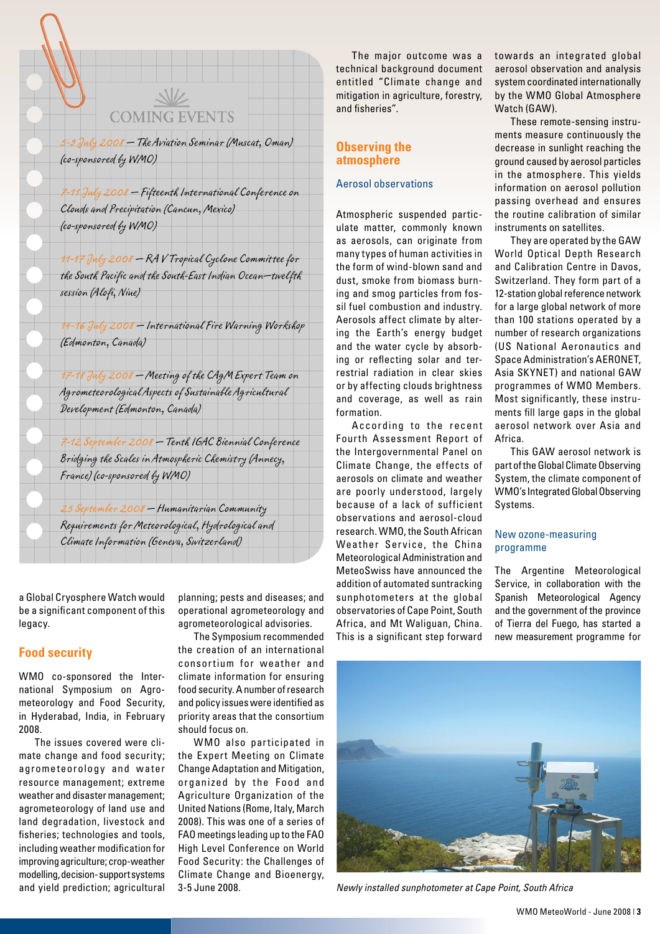# **COMING EVENTS**

5-9 July 2008 — The Aviation Seminar (Muscat, Oman) (co-sponsored by WMO)

7-11 July 2008 — Fifteenth International Conference on Clouds and Precipitation (Cancun, Mexico) (co-sponsored by WMO)

11-17 July 2008 — RA V Tropical Cyclone Committee for the South Pacific and the South-East Indian Ocean—twelfth session (Alofi, Niue)

14-16 July 2008 — International Fire Warning Workshop (Edmonton, Canada)

17-18 July 2008 — Meeting of the CAgM Expert Team on Agrometeorological Aspects of Sustainable Agricultural Development (Edmonton, Canada)

7-12 September 2008 — Tenth IGAC Biennial Conference Bridging the Scales in Atmospheric Chemistry (Annecy, France) (co-sponsored by WMO)

25 September 2008 — Humanitarian Community Requirements for Meteorological, Hydrological and Climate Information (Geneva, Switzerland)

a Global Cryosphere Watch would be a significant component of this legacy.

#### **Food security**

WMO co-sponsored the International Symposium on Agrometeorology and Food Security, in Hyderabad, India, in February 2008.

The issues covered were climate change and food security; agrometeorology and water resource management; extreme weather and disaster management; agrometeorology of land use and land degradation, livestock and fisheries; technologies and tools, including weather modification for improving agriculture; crop-weather modelling, decision- support systems and yield prediction; agricultural planning; pests and diseases; and operational agrometeorology and agrometeorological advisories.

The Symposium recommended the creation of an international consor tium for weather and climate information for ensuring food security. A number of research and policy issues were identified as priority areas that the consortium should focus on.

WMO also participated in the Expert Meeting on Climate Change Adaptation and Mitigation, organized by the Food and Agriculture Organization of the United Nations (Rome, Italy, March 2008). This was one of a series of FAO meetings leading up to the FAO High Level Conference on World Food Security: the Challenges of Climate Change and Bioenergy, 3-5 June 2008.

The major outcome was a technical background document entitled "Climate change and mitigation in agriculture, forestry, and fisheries".

## **Observing the atmosphere**

#### Aerosol observations

Atmospheric suspended particulate matter, commonly known as aerosols, can originate from many types of human activities in the form of wind-blown sand and dust, smoke from biomass burning and smog particles from fossil fuel combustion and industry. Aerosols affect climate by altering the Earth's energy budget and the water cycle by absorbing or reflecting solar and terrestrial radiation in clear skies or by affecting clouds brightness and coverage, as well as rain formation.

According to the recent Fourth Assessment Report of the Intergovernmental Panel on Climate Change, the effects of aerosols on climate and weather are poorly understood, largely because of a lack of sufficient observations and aerosol-cloud research. WMO, the South African Weather Service, the China Meteorological Administration and MeteoSwiss have announced the addition of automated suntracking sunphotometers at the global observatories of Cape Point, South Africa, and Mt Waliguan, China. This is a significant step forward towards an integrated global aerosol observation and analysis system coordinated internationally by the WMO Global Atmosphere Watch (GAW).

These remote-sensing instruments measure continuously the decrease in sunlight reaching the ground caused by aerosol particles in the atmosphere. This yields information on aerosol pollution passing overhead and ensures the routine calibration of similar instruments on satellites.

They are operated by the GAW World Optical Depth Research and Calibration Centre in Davos, Switzerland. They form part of a 12-station global reference network for a large global network of more than 100 stations operated by a number of research organizations (US National Aeronautics and Space Administration's AERONET, Asia SKYNET) and national GAW programmes of WMO Members. Most significantly, these instruments fill large gaps in the global aerosol network over Asia and Africa.

This GAW aerosol network is part of the Global Climate Observing System, the climate component of WMO's Integrated Global Observing Systems.

#### New ozone-measuring programme

The Argentine Meteorological Service, in collaboration with the Spanish Meteorological Agency and the government of the province of Tierra del Fuego, has started a new measurement programme for



*Newly installed sunphotometer at Cape Point, South Africa*